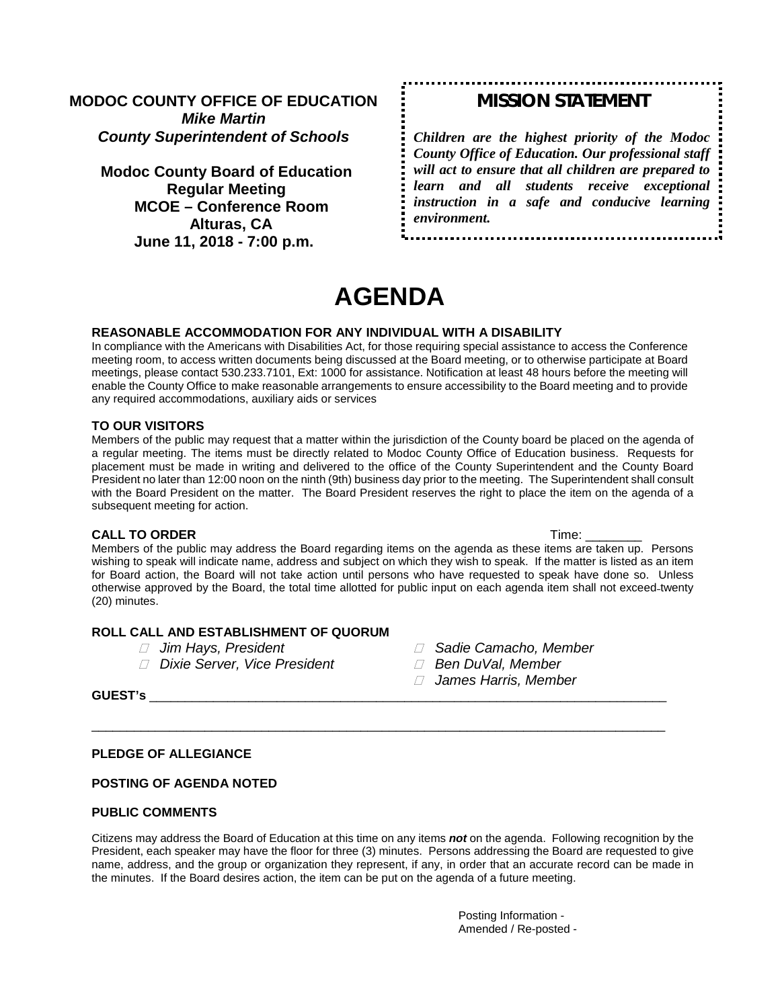## **MODOC COUNTY OFFICE OF EDUCATION** *Mike Martin County Superintendent of Schools*

**Modoc County Board of Education Regular Meeting MCOE – Conference Room Alturas, CA June 11, 2018 - 7:00 p.m.**

## *MISSION STATEMENT*

*Children are the highest priority of the Modoc County Office of Education. Our professional staff will act to ensure that all children are prepared to learn and all students receive exceptional instruction in a safe and conducive learning environment.*

# **AGENDA**

#### **REASONABLE ACCOMMODATION FOR ANY INDIVIDUAL WITH A DISABILITY**

In compliance with the Americans with Disabilities Act, for those requiring special assistance to access the Conference meeting room, to access written documents being discussed at the Board meeting, or to otherwise participate at Board meetings, please contact 530.233.7101, Ext: 1000 for assistance. Notification at least 48 hours before the meeting will enable the County Office to make reasonable arrangements to ensure accessibility to the Board meeting and to provide any required accommodations, auxiliary aids or services

#### **TO OUR VISITORS**

Members of the public may request that a matter within the jurisdiction of the County board be placed on the agenda of a regular meeting. The items must be directly related to Modoc County Office of Education business. Requests for placement must be made in writing and delivered to the office of the County Superintendent and the County Board President no later than 12:00 noon on the ninth (9th) business day prior to the meeting. The Superintendent shall consult with the Board President on the matter. The Board President reserves the right to place the item on the agenda of a subsequent meeting for action.

#### **CALL TO ORDER** Time: \_\_\_\_\_\_\_\_

Members of the public may address the Board regarding items on the agenda as these items are taken up. Persons wishing to speak will indicate name, address and subject on which they wish to speak. If the matter is listed as an item for Board action, the Board will not take action until persons who have requested to speak have done so. Unless otherwise approved by the Board, the total time allotted for public input on each agenda item shall not exceed twenty (20) minutes.

#### **ROLL CALL AND ESTABLISHMENT OF QUORUM**

- 
- *Jim Hays, President Sadie Camacho, Member <i>* $\Box$  Dixie Server, Vice President
- -
	- *James Harris, Member*

**GUEST's** \_\_\_\_\_\_\_\_\_\_\_\_\_\_\_\_\_\_\_\_\_\_\_\_\_\_\_\_\_\_\_\_\_\_\_\_\_\_\_\_\_\_\_\_\_\_\_\_\_\_\_\_\_\_\_\_\_\_\_\_\_\_\_\_\_\_\_\_\_\_\_\_\_

#### **PLEDGE OF ALLEGIANCE**

#### **POSTING OF AGENDA NOTED**

#### **PUBLIC COMMENTS**

Citizens may address the Board of Education at this time on any items *not* on the agenda. Following recognition by the President, each speaker may have the floor for three (3) minutes. Persons addressing the Board are requested to give name, address, and the group or organization they represent, if any, in order that an accurate record can be made in the minutes. If the Board desires action, the item can be put on the agenda of a future meeting.

\_\_\_\_\_\_\_\_\_\_\_\_\_\_\_\_\_\_\_\_\_\_\_\_\_\_\_\_\_\_\_\_\_\_\_\_\_\_\_\_\_\_\_\_\_\_\_\_\_\_\_\_\_\_\_\_\_\_\_\_\_\_\_\_\_\_\_\_\_\_\_\_\_\_\_\_\_\_\_\_\_

Posting Information - Amended / Re-posted -